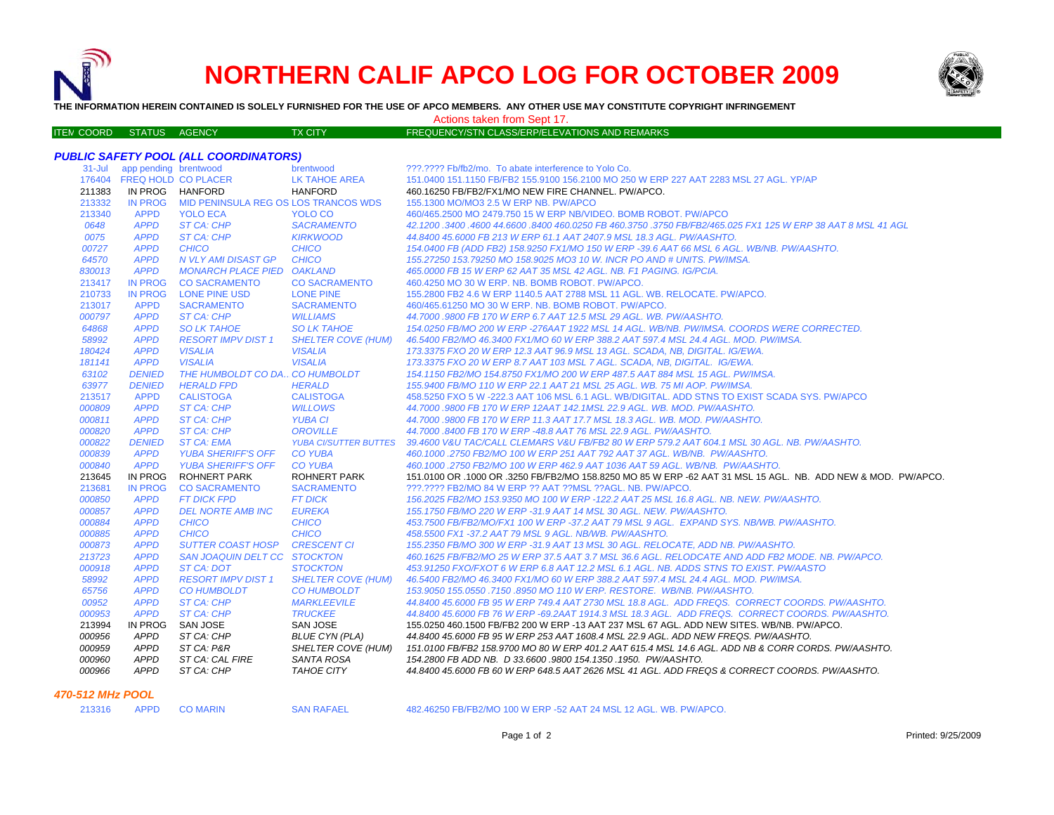

ITE M

# **NORTHERN CALIF APCO LOG FOR OCTOBER 2009**



**THE INFORMATION HEREIN CONTAINED IS SOLELY FURNISHED FOR THE USE OF APCO MEMBERS. ANY OTHER USE MAY CONSTITUTE COPYRIGHT INFRINGEMENT**

## Actions taken from Sept 17.

## TX CITY FREQUENCY/STN CLASS/ERP/ELEVATIONS AND REMARKS

## *PUBLIC SAFETY POOL (ALL COORDINATORS)*

| $31 -$ Jul | app pending brentwood      |                                      | brentwood                    | ???.???? Fb/fb2/mo. To abate interference to Yolo Co.                                                        |
|------------|----------------------------|--------------------------------------|------------------------------|--------------------------------------------------------------------------------------------------------------|
|            | 176404 FREQ HOLD CO PLACER |                                      | <b>LK TAHOE AREA</b>         | 151.0400 151.1150 FB/FB2 155.9100 156.2100 MO 250 W ERP 227 AAT 2283 MSL 27 AGL. YP/AP                       |
| 211383     | IN PROG HANFORD            |                                      | <b>HANFORD</b>               | 460.16250 FB/FB2/FX1/MO NEW FIRE CHANNEL. PW/APCO.                                                           |
| 213332     | <b>IN PROG</b>             | MID PENINSULA REG OS LOS TRANCOS WDS |                              | 155.1300 MO/MO3 2.5 W ERP NB, PW/APCO                                                                        |
| 213340     | <b>APPD</b>                | <b>YOLO ECA</b>                      | YOLO CO                      | 460/465.2500 MO 2479.750 15 W ERP NB/VIDEO. BOMB ROBOT. PW/APCO                                              |
| 0648       | <b>APPD</b>                | <b>ST CA: CHP</b>                    | <b>SACRAMENTO</b>            | 42,1200,3400,4600 44,6600,8400 460,0250 FB 460,3750 ,3750 FB/FB2/465,025 FX1 125 W ERP 38 AAT 8 MSL 41 AGL   |
| 0075       | <b>APPD</b>                | ST CA: CHP                           | <b>KIRKWOOD</b>              | 44.8400 45.6000 FB 213 W ERP 61.1 AAT 2407.9 MSL 18.3 AGL, PW/AASHTO.                                        |
| 00727      | <b>APPD</b>                | <b>CHICO</b>                         | <b>CHICO</b>                 | 154,0400 FB (ADD FB2) 158,9250 FX1/MO 150 W ERP -39.6 AAT 66 MSL 6 AGL. WB/NB, PW/AASHTO,                    |
| 64570      | <b>APPD</b>                | N VLY AMI DISAST GP                  | <b>CHICO</b>                 | 155.27250 153.79250 MO 158.9025 MO3 10 W. INCR PO AND # UNITS, PW/IMSA.                                      |
| 830013     | <b>APPD</b>                | <b>MONARCH PLACE PIED</b>            | <b>OAKLAND</b>               | 465.0000 FB 15 W ERP 62 AAT 35 MSL 42 AGL. NB. F1 PAGING. IG/PCIA.                                           |
| 213417     | <b>IN PROG</b>             | <b>CO SACRAMENTO</b>                 | <b>CO SACRAMENTO</b>         | 460,4250 MO 30 W ERP. NB. BOMB ROBOT. PW/APCO.                                                               |
| 210733     | <b>IN PROG</b>             | LONE PINE USD                        | <b>LONE PINE</b>             | 155,2800 FB2 4.6 W ERP 1140.5 AAT 2788 MSL 11 AGL, WB, RELOCATE, PW/APCO,                                    |
| 213017     | <b>APPD</b>                | <b>SACRAMENTO</b>                    | <b>SACRAMENTO</b>            | 460/465.61250 MO 30 W ERP. NB. BOMB ROBOT. PW/APCO.                                                          |
| 000797     | <b>APPD</b>                | ST CA: CHP                           | <b>WILLIAMS</b>              | 44.7000 .9800 FB 170 W ERP 6.7 AAT 12.5 MSL 29 AGL, WB, PW/AASHTO,                                           |
| 64868      | <b>APPD</b>                | <b>SO LK TAHOE</b>                   | <b>SO LK TAHOE</b>           | 154.0250 FB/MO 200 W ERP -276AAT 1922 MSL 14 AGL. WB/NB. PW/IMSA, COORDS WERE CORRECTED.                     |
| 58992      | <b>APPD</b>                | <b>RESORT IMPV DIST 1</b>            | <b>SHELTER COVE (HUM)</b>    | 46.5400 FB2/MO 46.3400 FX1/MO 60 W ERP 388.2 AAT 597.4 MSL 24.4 AGL, MOD, PW/IMSA,                           |
| 180424     | <b>APPD</b>                | <b>VISALIA</b>                       | <b>VISALIA</b>               | 173.3375 FXO 20 W ERP 12.3 AAT 96.9 MSL 13 AGL. SCADA, NB, DIGITAL. IG/EWA.                                  |
| 181141     | <b>APPD</b>                | <b>VISALIA</b>                       | <b>VISALIA</b>               | 173.3375 FXO 20 W ERP 8.7 AAT 103 MSL 7 AGL, SCADA, NB, DIGITAL, IG/EWA,                                     |
| 63102      | <b>DENIED</b>              | THE HUMBOLDT CO DA., CO HUMBOLDT     |                              | 154.1150 FB2/MO 154.8750 FX1/MO 200 W ERP 487.5 AAT 884 MSL 15 AGL, PW/IMSA.                                 |
| 63977      | <b>DENIED</b>              | <b>HERALD FPD</b>                    | <b>HERALD</b>                | 155,9400 FB/MO 110 W ERP 22.1 AAT 21 MSL 25 AGL, WB, 75 MI AOP, PW/IMSA,                                     |
| 213517     | <b>APPD</b>                | <b>CALISTOGA</b>                     | <b>CALISTOGA</b>             | 458.5250 FXO 5 W -222.3 AAT 106 MSL 6.1 AGL. WB/DIGITAL. ADD STNS TO EXIST SCADA SYS. PW/APCO                |
| 000809     | <b>APPD</b>                | ST CA: CHP                           | <b>WILLOWS</b>               | 44.7000 .9800 FB 170 W ERP 12AAT 142.1MSL 22.9 AGL. WB. MOD. PW/AASHTO.                                      |
| 000811     | <b>APPD</b>                | <b>ST CA: CHP</b>                    | <b>YUBA CI</b>               | 44.7000.9800 FB 170 W ERP 11.3 AAT 17.7 MSL 18.3 AGL, WB, MOD, PW/AASHTO,                                    |
| 000820     | <b>APPD</b>                | ST CA: CHP                           | <b>OROVILLE</b>              | 44.7000 .8400 FB 170 W ERP -48.8 AAT 76 MSL 22.9 AGL. PW/AASHTO.                                             |
| 000822     | <b>DENIED</b>              | <b>ST CA: EMA</b>                    | <b>YUBA CI/SUTTER BUTTES</b> | 39.4600 V&U TAC/CALL CLEMARS V&U FB/FB2 80 W ERP 579.2 AAT 604.1 MSL 30 AGL. NB. PW/AASHTO.                  |
| 000839     | <b>APPD</b>                | <b>YUBA SHERIFF'S OFF</b>            | <b>CO YUBA</b>               | 460.1000.2750 FB2/MO 100 W ERP 251 AAT 792 AAT 37 AGL, WB/NB, PW/AASHTO,                                     |
| 000840     | <b>APPD</b>                | <b>YUBA SHERIFF'S OFF</b>            | <b>CO YUBA</b>               | 460.1000.2750 FB2/MO 100 W ERP 462.9 AAT 1036 AAT 59 AGL. WB/NB. PW/AASHTO.                                  |
| 213645     | <b>IN PROG</b>             | <b>ROHNERT PARK</b>                  | <b>ROHNERT PARK</b>          | 151.0100 OR .1000 OR .3250 FB/FB2/MO 158.8250 MO 85 W ERP -62 AAT 31 MSL 15 AGL. NB. ADD NEW & MOD. PW/APCO. |
| 213681     | <b>IN PROG</b>             | <b>CO SACRAMENTO</b>                 | <b>SACRAMENTO</b>            | ???.???? FB2/MO 84 W ERP ?? AAT ?? MSL ?? AGL. NB. PW/APCO.                                                  |
| 000850     | <b>APPD</b>                | <b>FT DICK FPD</b>                   | <b>FT DICK</b>               | 156,2025 FB2/MO 153,9350 MO 100 W ERP -122,2 AAT 25 MSL 16.8 AGL, NB, NEW, PW/AASHTO,                        |
| 000857     | <b>APPD</b>                | <b>DEL NORTE AMB INC</b>             | <b>EUREKA</b>                | 155.1750 FB/MO 220 W ERP -31.9 AAT 14 MSL 30 AGL. NEW. PW/AASHTO.                                            |
| 000884     | <b>APPD</b>                | <b>CHICO</b>                         | <b>CHICO</b>                 | 453.7500 FB/FB2/MO/FX1 100 W ERP -37.2 AAT 79 MSL 9 AGL. EXPAND SYS. NB/WB. PW/AASHTO.                       |
| 000885     | <b>APPD</b>                | <b>CHICO</b>                         | <b>CHICO</b>                 | 458.5500 FX1-37.2 AAT 79 MSL 9 AGL. NB/WB. PW/AASHTO.                                                        |
| 000873     | <b>APPD</b>                | <b>SUTTER COAST HOSP</b>             | <b>CRESCENT CI</b>           | 155.2350 FB/MO 300 W ERP -31.9 AAT 13 MSL 30 AGL. RELOCATE, ADD NB. PW/AASHTO.                               |
| 213723     | <b>APPD</b>                | SAN JOAQUIN DELT CC STOCKTON         |                              | 460.1625 FB/FB2/MO 25 W ERP 37.5 AAT 3.7 MSL 36.6 AGL. RELODCATE AND ADD FB2 MODE. NB. PW/APCO.              |
| 000918     | <b>APPD</b>                | ST CA: DOT                           | <b>STOCKTON</b>              | 453.91250 FXO/FXOT 6 W ERP 6.8 AAT 12.2 MSL 6.1 AGL. NB. ADDS STNS TO EXIST. PW/AASTO                        |
| 58992      | <b>APPD</b>                | <b>RESORT IMPV DIST 1</b>            | <b>SHELTER COVE (HUM)</b>    | 46.5400 FB2/MO 46.3400 FX1/MO 60 W ERP 388.2 AAT 597.4 MSL 24.4 AGL, MOD, PW/IMSA.                           |
| 65756      | <b>APPD</b>                | <b>CO HUMBOLDT</b>                   | <b>CO HUMBOLDT</b>           | 153.9050 155.0550 .7150 .8950 MO 110 W ERP. RESTORE. WB/NB. PW/AASHTO.                                       |
| 00952      | <b>APPD</b>                | ST CA: CHP                           | <b>MARKLEEVILE</b>           | 44.8400 45.6000 FB 95 W ERP 749.4 AAT 2730 MSL 18.8 AGL. ADD FREQS. CORRECT COORDS. PW/AASHTO.               |
| 000953     | <b>APPD</b>                | <b>ST CA: CHP</b>                    | <b>TRUCKEE</b>               | 44.8400 45.6000 FB 76 W ERP -69.2AAT 1914.3 MSL 18.3 AGL, ADD FREQS, CORRECT COORDS, PW/AASHTO,              |
| 213994     | <b>IN PROG</b>             | SAN JOSE                             | <b>SAN JOSE</b>              | 155.0250 460.1500 FB/FB2 200 W ERP -13 AAT 237 MSL 67 AGL. ADD NEW SITES. WB/NB. PW/APCO.                    |
| 000956     | <b>APPD</b>                | ST CA: CHP                           | <b>BLUE CYN (PLA)</b>        | 44.8400 45.6000 FB 95 W ERP 253 AAT 1608.4 MSL 22.9 AGL. ADD NEW FREQS. PW/AASHTO.                           |
| 000959     | <b>APPD</b>                | ST CA: P&R                           | <b>SHELTER COVE (HUM)</b>    | 151.0100 FB/FB2 158.9700 MO 80 W ERP 401.2 AAT 615.4 MSL 14.6 AGL. ADD NB & CORR CORDS. PW/AASHTO.           |
| 000960     | <b>APPD</b>                | ST CA: CAL FIRE                      | SANTA ROSA                   | 154.2800 FB ADD NB. D 33.6600 .9800 154.1350 .1950. PW/AASHTO.                                               |
| 000966     | <b>APPD</b>                | ST CA: CHP                           | TAHOE CITY                   | 44.8400 45.6000 FB 60 W ERP 648.5 AAT 2626 MSL 41 AGL. ADD FREQS & CORRECT COORDS. PW/AASHTO.                |
|            |                            |                                      |                              |                                                                                                              |

## *470-512 MHz POOL*

| 3316 |  | <b>APPD</b> |  |
|------|--|-------------|--|
|      |  |             |  |

APPD CO MARIN SAN RAFAEL 482.46250 FB/FB2/MO 100 W ERP -52 AAT 24 MSL 12 AGL. WB. PW/APCO.